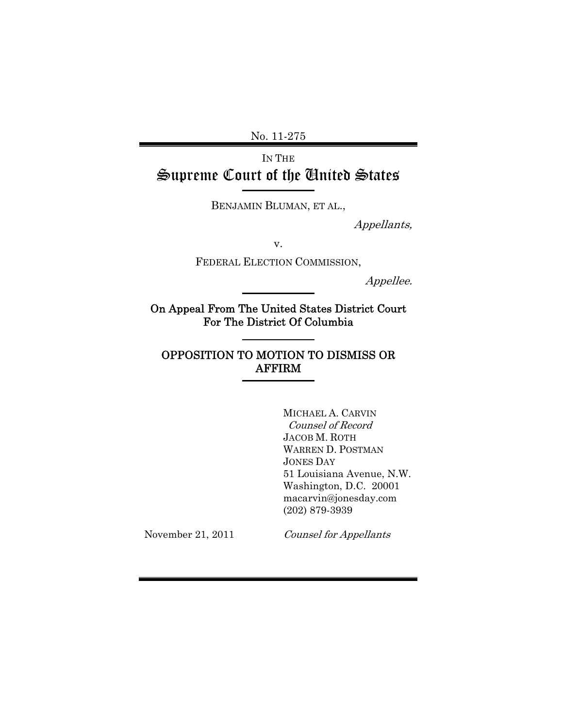No. 11-275

IN THE Supreme Court of the United States

BENJAMIN BLUMAN, ET AL.,

Appellants,

v.

FEDERAL ELECTION COMMISSION,

Appellee.

On Appeal From The United States District Court For The District Of Columbia

# OPPOSITION TO MOTION TO DISMISS OR AFFIRM

MICHAEL A. CARVIN Counsel of Record JACOB M. ROTH WARREN D. POSTMAN JONES DAY 51 Louisiana Avenue, N.W. Washington, D.C. 20001 macarvin@jonesday.com (202) 879-3939

November 21, 2011

Counsel for Appellants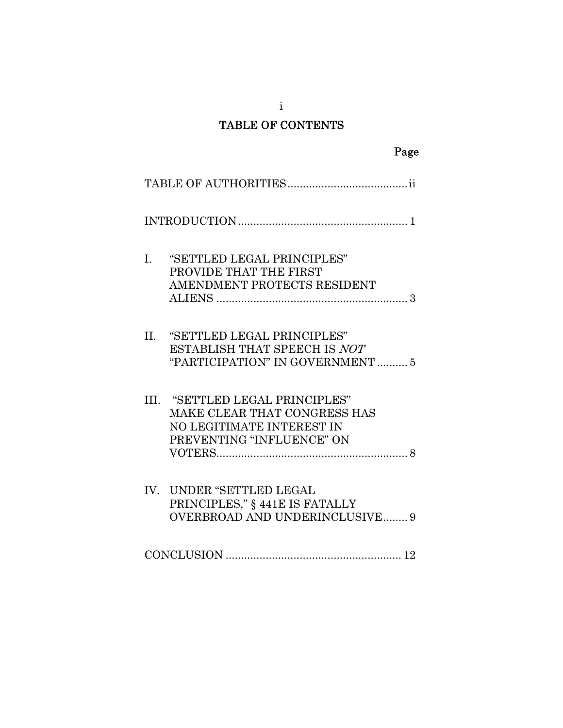# TABLE OF CONTENTS

|     |                                                                                                                           | Page |
|-----|---------------------------------------------------------------------------------------------------------------------------|------|
|     |                                                                                                                           |      |
|     |                                                                                                                           |      |
| I.  | "SETTLED LEGAL PRINCIPLES"<br>PROVIDE THAT THE FIRST<br>AMENDMENT PROTECTS RESIDENT                                       |      |
| II. | "SETTLED LEGAL PRINCIPLES"<br>ESTABLISH THAT SPEECH IS NOT<br>"PARTICIPATION" IN GOVERNMENT  5                            |      |
|     | III. "SETTLED LEGAL PRINCIPLES"<br>MAKE CLEAR THAT CONGRESS HAS<br>NO LEGITIMATE INTEREST IN<br>PREVENTING "INFLUENCE" ON |      |
|     | IV. UNDER "SETTLED LEGAL<br>PRINCIPLES," § 441E IS FATALLY<br><b>OVERBROAD AND UNDERINCLUSIVE 9</b>                       |      |
|     |                                                                                                                           |      |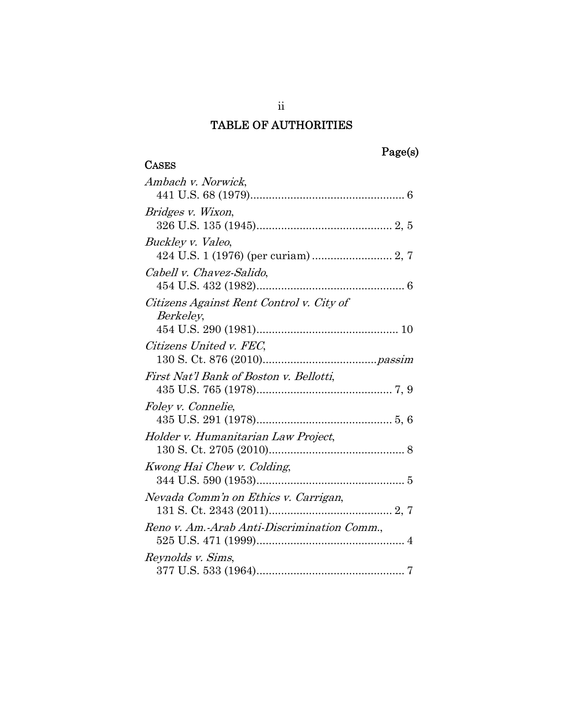# TABLE OF AUTHORITIES

## **CASES**

| Ambach v. Norwick,                                    |
|-------------------------------------------------------|
| Bridges v. Wixon,                                     |
| Buckley v. Valeo,                                     |
| Cabell v. Chavez-Salido,                              |
| Citizens Against Rent Control v. City of<br>Berkeley, |
|                                                       |
| Citizens United v. FEC,                               |
| First Nat'l Bank of Boston v. Bellotti,               |
| Foley v. Connelie,                                    |
| Holder v. Humanitarian Law Project,                   |
| Kwong Hai Chew v. Colding,                            |
| Nevada Comm'n on Ethics v. Carrigan,                  |
| Reno v. Am.-Arab Anti-Discrimination Comm.,           |
| Reynolds v. Sims,                                     |

ii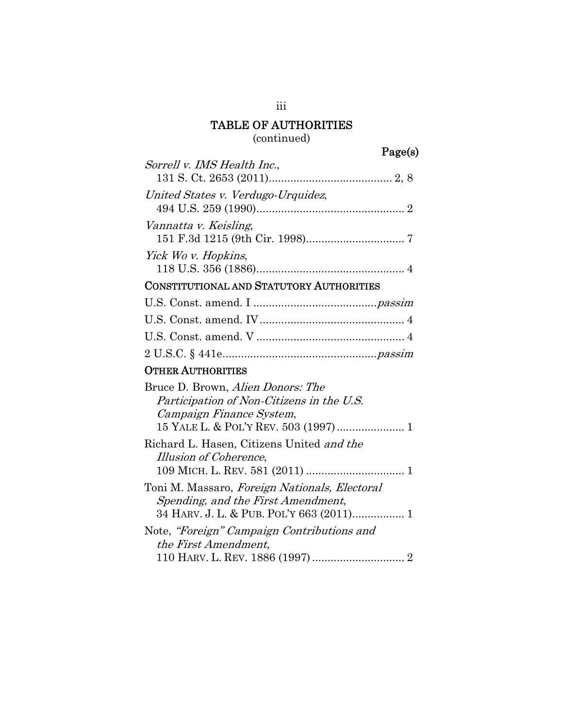# TABLE OF AUTHORITIES

# (continued)

| Sorrell v. IMS Health Inc.,                     |  |
|-------------------------------------------------|--|
|                                                 |  |
| United States v. Verdugo-Urquidez,              |  |
|                                                 |  |
| Vannatta v. Keisling,                           |  |
|                                                 |  |
| Yick Wo v. Hopkins,                             |  |
|                                                 |  |
| <b>CONSTITUTIONAL AND STATUTORY AUTHORITIES</b> |  |
|                                                 |  |
|                                                 |  |
|                                                 |  |
|                                                 |  |
| <b>OTHER AUTHORITIES</b>                        |  |
| Bruce D. Brown, Alien Donors: The               |  |
| Participation of Non-Citizens in the U.S.       |  |
|                                                 |  |
| Campaign Finance System,                        |  |
|                                                 |  |
| Richard L. Hasen, Citizens United and the       |  |
| Illusion of Coherence,                          |  |
|                                                 |  |
| Toni M. Massaro, Foreign Nationals, Electoral   |  |
| Spending, and the First Amendment,              |  |
| 34 HARV. J. L. & PUB. POL'Y 663 (2011) 1        |  |
| Note, "Foreign" Campaign Contributions and      |  |
| the First Amendment,                            |  |

iii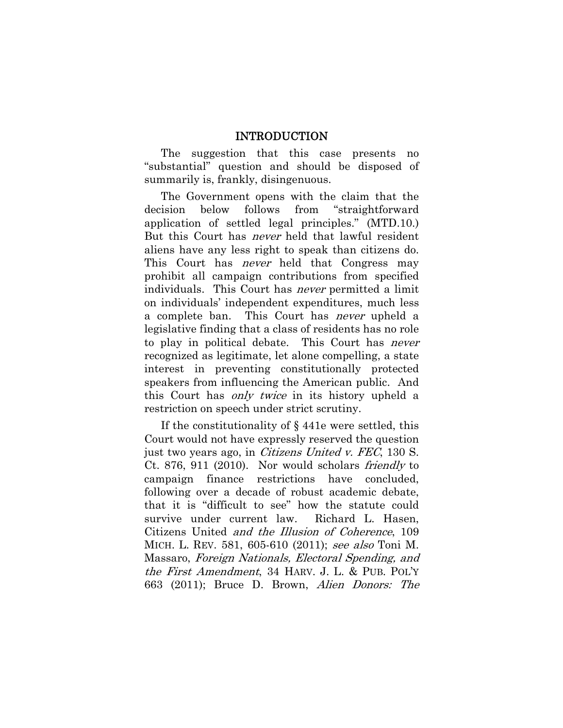#### INTRODUCTION

The suggestion that this case presents no "substantial" question and should be disposed of summarily is, frankly, disingenuous.

The Government opens with the claim that the decision below follows from "straightforward application of settled legal principles." (MTD.10.) But this Court has never held that lawful resident aliens have any less right to speak than citizens do. This Court has *never* held that Congress may prohibit all campaign contributions from specified individuals. This Court has never permitted a limit on individuals' independent expenditures, much less a complete ban. This Court has never upheld a legislative finding that a class of residents has no role to play in political debate. This Court has *never* recognized as legitimate, let alone compelling, a state interest in preventing constitutionally protected speakers from influencing the American public. And this Court has *only twice* in its history upheld a restriction on speech under strict scrutiny.

If the constitutionality of § 441e were settled, this Court would not have expressly reserved the question just two years ago, in Citizens United v. FEC, 130 S. Ct. 876, 911 (2010). Nor would scholars friendly to campaign finance restrictions have concluded, following over a decade of robust academic debate, that it is "difficult to see" how the statute could survive under current law. Richard L. Hasen, Citizens United and the Illusion of Coherence, 109 MICH. L. REV. 581, 605-610 (2011); see also Toni M. Massaro, Foreign Nationals, Electoral Spending, and the First Amendment, 34 HARV. J. L. & PUB. POL'Y 663 (2011); Bruce D. Brown, Alien Donors: The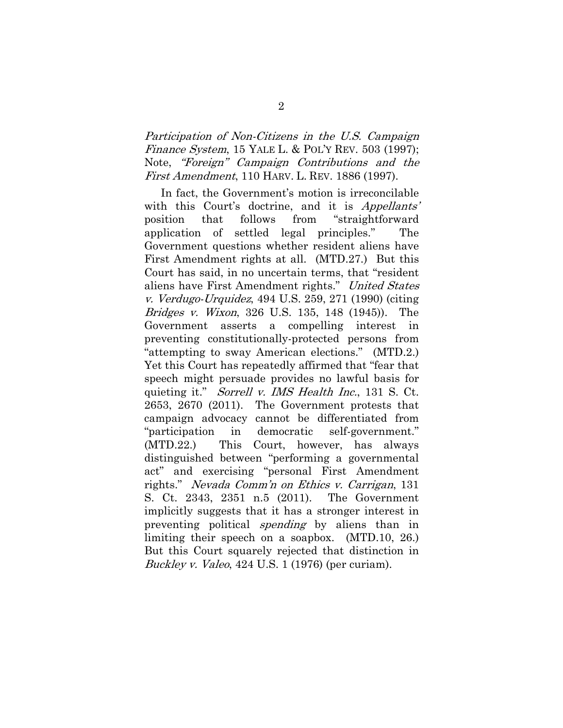Participation of Non-Citizens in the U.S. Campaign Finance System, 15 YALE L. & POL'Y REV. 503 (1997); Note, "Foreign" Campaign Contributions and the First Amendment, 110 HARV. L. REV. 1886 (1997).

In fact, the Government's motion is irreconcilable with this Court's doctrine, and it is *Appellants'* position that follows from "straightforward application of settled legal principles." The Government questions whether resident aliens have First Amendment rights at all. (MTD.27.) But this Court has said, in no uncertain terms, that "resident aliens have First Amendment rights." United States v. Verdugo-Urquidez, 494 U.S. 259, 271 (1990) (citing Bridges v. Wixon, 326 U.S. 135, 148 (1945)). The Government asserts a compelling interest in preventing constitutionally-protected persons from "attempting to sway American elections." (MTD.2.) Yet this Court has repeatedly affirmed that "fear that speech might persuade provides no lawful basis for quieting it." *Sorrell v. IMS Health Inc.*, 131 S. Ct. 2653, 2670 (2011). The Government protests that campaign advocacy cannot be differentiated from "participation in democratic self-government." (MTD.22.) This Court, however, has always distinguished between "performing a governmental act" and exercising "personal First Amendment rights." Nevada Comm'n on Ethics v. Carrigan, 131 S. Ct. 2343, 2351 n.5 (2011). The Government implicitly suggests that it has a stronger interest in preventing political *spending* by aliens than in limiting their speech on a soapbox. (MTD.10, 26.) But this Court squarely rejected that distinction in Buckley v. Valeo, 424 U.S. 1 (1976) (per curiam).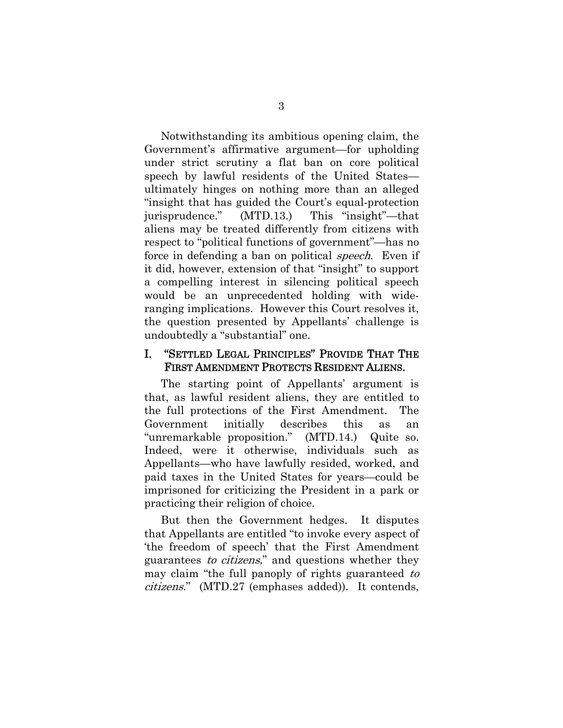Notwithstanding its ambitious opening claim, the Government's affirmative argument—for upholding under strict scrutiny a flat ban on core political speech by lawful residents of the United States ultimately hinges on nothing more than an alleged "insight that has guided the Court's equal-protection jurisprudence." (MTD.13.) This "insight"—that aliens may be treated differently from citizens with respect to "political functions of government"—has no force in defending a ban on political *speech*. Even if it did, however, extension of that "insight" to support a compelling interest in silencing political speech would be an unprecedented holding with wideranging implications. However this Court resolves it, the question presented by Appellants' challenge is undoubtedly a "substantial" one.

#### I. "SETTLED LEGAL PRINCIPLES" PROVIDE THAT THE FIRST AMENDMENT PROTECTS RESIDENT ALIENS.

The starting point of Appellants' argument is that, as lawful resident aliens, they are entitled to the full protections of the First Amendment. The Government initially describes this as an "unremarkable proposition." (MTD.14.) Quite so. Indeed, were it otherwise, individuals such as Appellants—who have lawfully resided, worked, and paid taxes in the United States for years—could be imprisoned for criticizing the President in a park or practicing their religion of choice.

But then the Government hedges. It disputes that Appellants are entitled "to invoke every aspect of 'the freedom of speech' that the First Amendment guarantees to citizens," and questions whether they may claim "the full panoply of rights guaranteed to citizens." (MTD.27 (emphases added)). It contends,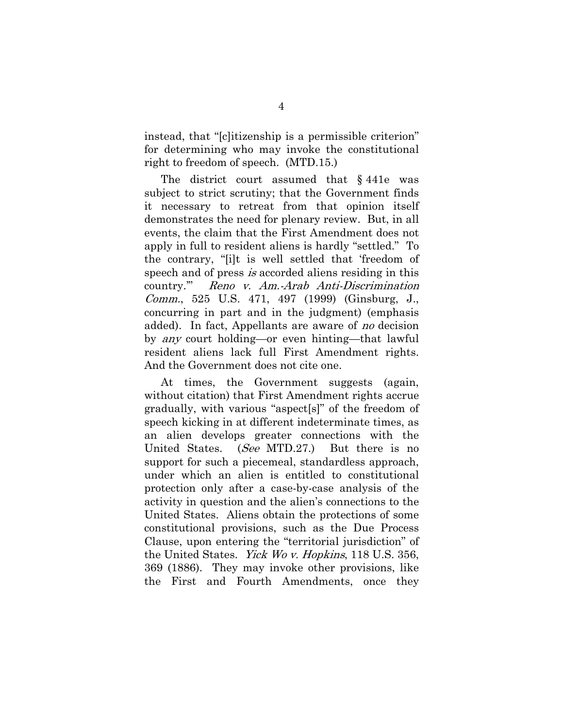instead, that "[c]itizenship is a permissible criterion" for determining who may invoke the constitutional right to freedom of speech. (MTD.15.)

The district court assumed that § 441e was subject to strict scrutiny; that the Government finds it necessary to retreat from that opinion itself demonstrates the need for plenary review. But, in all events, the claim that the First Amendment does not apply in full to resident aliens is hardly "settled." To the contrary, "[i]t is well settled that 'freedom of speech and of press is accorded aliens residing in this country.'" Reno v. Am.-Arab Anti-Discrimination Comm., 525 U.S. 471, 497 (1999) (Ginsburg, J., concurring in part and in the judgment) (emphasis added). In fact, Appellants are aware of *no* decision by any court holding—or even hinting—that lawful resident aliens lack full First Amendment rights. And the Government does not cite one.

At times, the Government suggests (again, without citation) that First Amendment rights accrue gradually, with various "aspect[s]" of the freedom of speech kicking in at different indeterminate times, as an alien develops greater connections with the United States. (See MTD.27.) But there is no support for such a piecemeal, standardless approach, under which an alien is entitled to constitutional protection only after a case-by-case analysis of the activity in question and the alien's connections to the United States. Aliens obtain the protections of some constitutional provisions, such as the Due Process Clause, upon entering the "territorial jurisdiction" of the United States. Yick Wo v. Hopkins, 118 U.S. 356, 369 (1886). They may invoke other provisions, like the First and Fourth Amendments, once they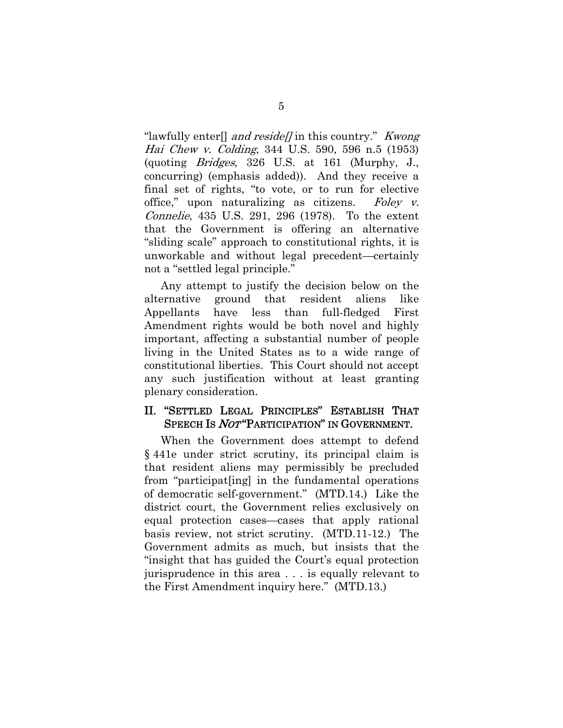"lawfully enter<sup>[]</sup> and reside// in this country." Kwong Hai Chew v. Colding, 344 U.S. 590, 596 n.5 (1953) (quoting Bridges, 326 U.S. at 161 (Murphy, J., concurring) (emphasis added)). And they receive a final set of rights, "to vote, or to run for elective office," upon naturalizing as citizens. Foley  $v$ . Connelie, 435 U.S. 291, 296 (1978). To the extent that the Government is offering an alternative "sliding scale" approach to constitutional rights, it is unworkable and without legal precedent—certainly not a "settled legal principle."

Any attempt to justify the decision below on the alternative ground that resident aliens like Appellants have less than full-fledged First Amendment rights would be both novel and highly important, affecting a substantial number of people living in the United States as to a wide range of constitutional liberties. This Court should not accept any such justification without at least granting plenary consideration.

### II. "SETTLED LEGAL PRINCIPLES" ESTABLISH THAT SPEECH IS NOT "PARTICIPATION" IN GOVERNMENT.

When the Government does attempt to defend § 441e under strict scrutiny, its principal claim is that resident aliens may permissibly be precluded from "participat[ing] in the fundamental operations of democratic self-government." (MTD.14.) Like the district court, the Government relies exclusively on equal protection cases—cases that apply rational basis review, not strict scrutiny. (MTD.11-12.) The Government admits as much, but insists that the "insight that has guided the Court's equal protection jurisprudence in this area . . . is equally relevant to the First Amendment inquiry here." (MTD.13.)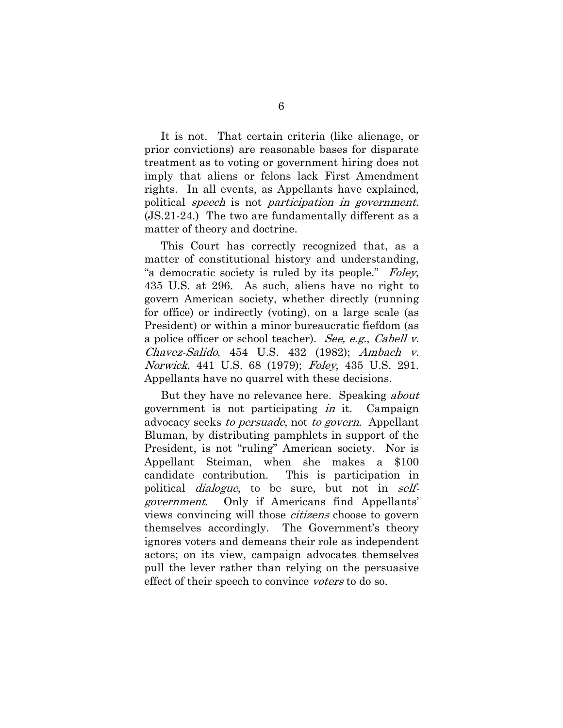It is not. That certain criteria (like alienage, or prior convictions) are reasonable bases for disparate treatment as to voting or government hiring does not imply that aliens or felons lack First Amendment rights. In all events, as Appellants have explained, political speech is not participation in government. (JS.21-24.) The two are fundamentally different as a matter of theory and doctrine.

This Court has correctly recognized that, as a matter of constitutional history and understanding, "a democratic society is ruled by its people." Foley, 435 U.S. at 296. As such, aliens have no right to govern American society, whether directly (running for office) or indirectly (voting), on a large scale (as President) or within a minor bureaucratic fiefdom (as a police officer or school teacher). See, e.g., Cabell v. Chavez-Salido, 454 U.S. 432 (1982); Ambach v. Norwick, 441 U.S. 68 (1979); Foley, 435 U.S. 291. Appellants have no quarrel with these decisions.

But they have no relevance here. Speaking *about* government is not participating in it. Campaign advocacy seeks *to persuade*, not *to govern*. Appellant Bluman, by distributing pamphlets in support of the President, is not "ruling" American society. Nor is Appellant Steiman, when she makes a \$100 candidate contribution. This is participation in political *dialogue*, to be sure, but not in *self*government. Only if Americans find Appellants' views convincing will those citizens choose to govern themselves accordingly. The Government's theory ignores voters and demeans their role as independent actors; on its view, campaign advocates themselves pull the lever rather than relying on the persuasive effect of their speech to convince voters to do so.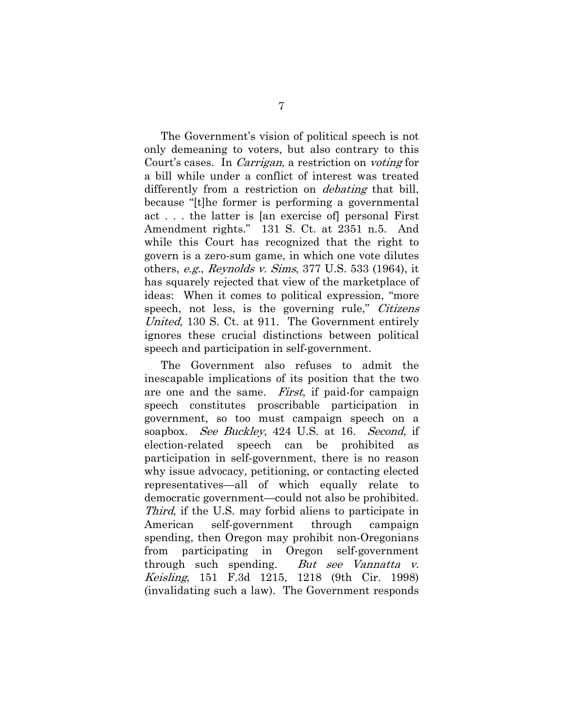The Government's vision of political speech is not only demeaning to voters, but also contrary to this Court's cases. In Carrigan, a restriction on voting for a bill while under a conflict of interest was treated differently from a restriction on *debating* that bill, because "[t]he former is performing a governmental act . . . the latter is [an exercise of] personal First Amendment rights." 131 S. Ct. at 2351 n.5. And while this Court has recognized that the right to govern is a zero-sum game, in which one vote dilutes others, e.g., Reynolds v. Sims, 377 U.S. 533 (1964), it has squarely rejected that view of the marketplace of ideas: When it comes to political expression, "more speech, not less, is the governing rule," Citizens United, 130 S. Ct. at 911. The Government entirely ignores these crucial distinctions between political speech and participation in self-government.

The Government also refuses to admit the inescapable implications of its position that the two are one and the same. First, if paid-for campaign speech constitutes proscribable participation in government, so too must campaign speech on a soapbox. *See Buckley*, 424 U.S. at 16. *Second*, if election-related speech can be prohibited as participation in self-government, there is no reason why issue advocacy, petitioning, or contacting elected representatives—all of which equally relate to democratic government—could not also be prohibited. Third, if the U.S. may forbid aliens to participate in American self-government through campaign spending, then Oregon may prohibit non-Oregonians from participating in Oregon self-government through such spending. But see Vannatta v. Keisling, 151 F.3d 1215, 1218 (9th Cir. 1998) (invalidating such a law). The Government responds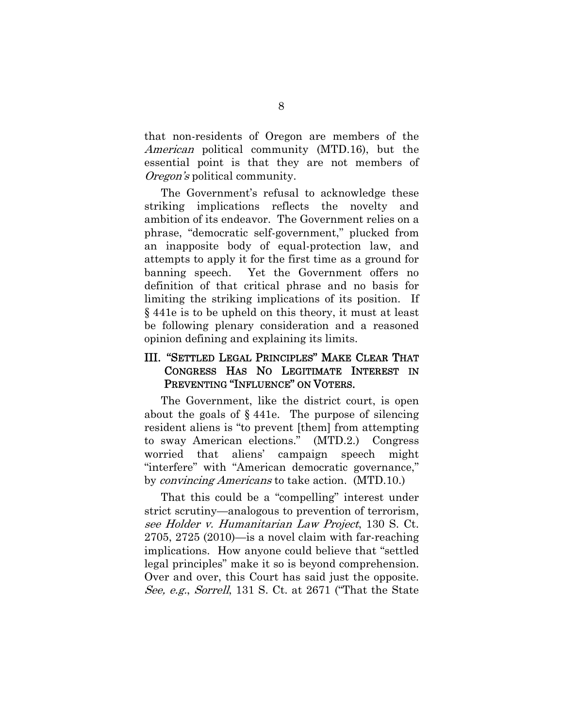that non-residents of Oregon are members of the American political community (MTD.16), but the essential point is that they are not members of Oregon's political community.

The Government's refusal to acknowledge these striking implications reflects the novelty and ambition of its endeavor. The Government relies on a phrase, "democratic self-government," plucked from an inapposite body of equal-protection law, and attempts to apply it for the first time as a ground for banning speech. Yet the Government offers no definition of that critical phrase and no basis for limiting the striking implications of its position. If § 441e is to be upheld on this theory, it must at least be following plenary consideration and a reasoned opinion defining and explaining its limits.

## III. "SETTLED LEGAL PRINCIPLES" MAKE CLEAR THAT CONGRESS HAS NO LEGITIMATE INTEREST IN PREVENTING "INFLUENCE" ON VOTERS.

The Government, like the district court, is open about the goals of  $\S$  441e. The purpose of silencing resident aliens is "to prevent [them] from attempting to sway American elections." (MTD.2.) Congress worried that aliens' campaign speech might "interfere" with "American democratic governance," by convincing Americans to take action. (MTD.10.)

That this could be a "compelling" interest under strict scrutiny—analogous to prevention of terrorism, see Holder v. Humanitarian Law Project, 130 S. Ct. 2705, 2725 (2010)—is a novel claim with far-reaching implications. How anyone could believe that "settled legal principles" make it so is beyond comprehension. Over and over, this Court has said just the opposite. See, e.g., Sorrell, 131 S. Ct. at 2671 ("That the State"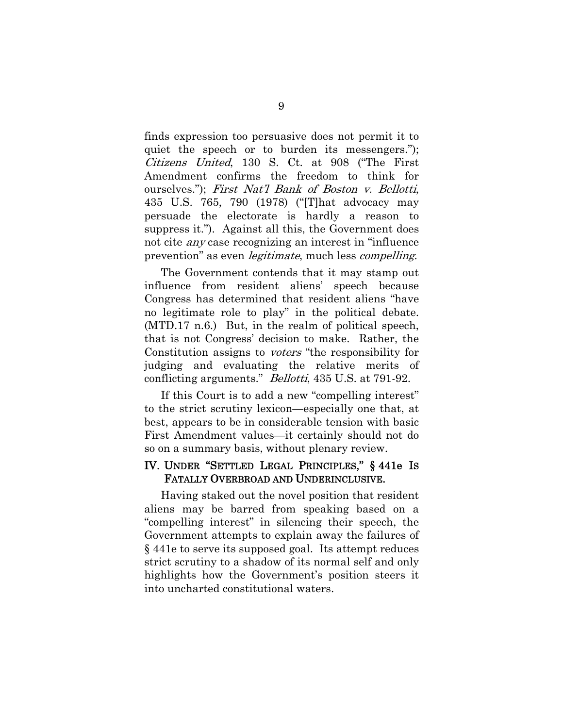finds expression too persuasive does not permit it to quiet the speech or to burden its messengers."); Citizens United, 130 S. Ct. at 908 ("The First Amendment confirms the freedom to think for ourselves."); First Nat'l Bank of Boston v. Bellotti, 435 U.S. 765, 790 (1978) ("[T]hat advocacy may persuade the electorate is hardly a reason to suppress it."). Against all this, the Government does not cite any case recognizing an interest in "influence prevention" as even *legitimate*, much less *compelling*.

The Government contends that it may stamp out influence from resident aliens' speech because Congress has determined that resident aliens "have no legitimate role to play" in the political debate. (MTD.17 n.6.) But, in the realm of political speech, that is not Congress' decision to make. Rather, the Constitution assigns to voters "the responsibility for judging and evaluating the relative merits of conflicting arguments." *Bellotti*, 435 U.S. at 791-92.

If this Court is to add a new "compelling interest" to the strict scrutiny lexicon—especially one that, at best, appears to be in considerable tension with basic First Amendment values—it certainly should not do so on a summary basis, without plenary review.

### IV. UNDER "SETTLED LEGAL PRINCIPLES," § 441e IS FATALLY OVERBROAD AND UNDERINCLUSIVE.

Having staked out the novel position that resident aliens may be barred from speaking based on a "compelling interest" in silencing their speech, the Government attempts to explain away the failures of § 441e to serve its supposed goal. Its attempt reduces strict scrutiny to a shadow of its normal self and only highlights how the Government's position steers it into uncharted constitutional waters.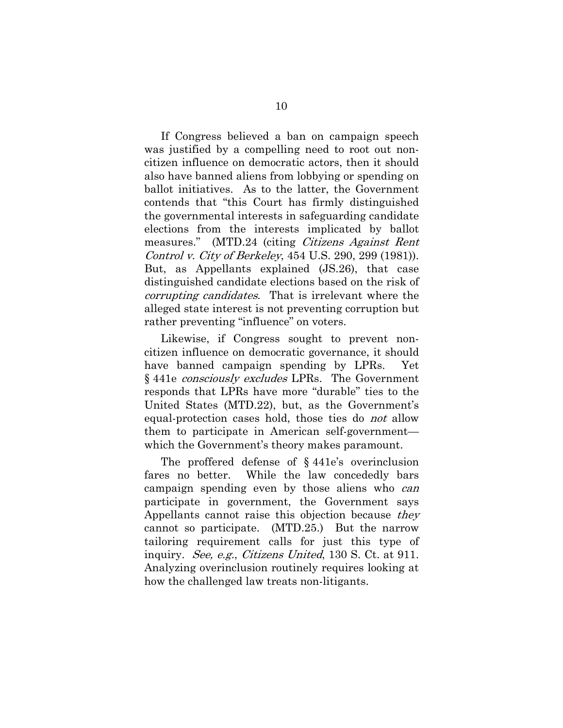If Congress believed a ban on campaign speech was justified by a compelling need to root out noncitizen influence on democratic actors, then it should also have banned aliens from lobbying or spending on ballot initiatives. As to the latter, the Government contends that "this Court has firmly distinguished the governmental interests in safeguarding candidate elections from the interests implicated by ballot measures." (MTD.24 (citing *Citizens Against Rent*) Control v. City of Berkeley, 454 U.S. 290, 299 (1981)). But, as Appellants explained (JS.26), that case distinguished candidate elections based on the risk of corrupting candidates. That is irrelevant where the alleged state interest is not preventing corruption but rather preventing "influence" on voters.

Likewise, if Congress sought to prevent noncitizen influence on democratic governance, it should have banned campaign spending by LPRs. Yet § 441e consciously excludes LPRs. The Government responds that LPRs have more "durable" ties to the United States (MTD.22), but, as the Government's equal-protection cases hold, those ties do *not* allow them to participate in American self-government which the Government's theory makes paramount.

The proffered defense of § 441e's overinclusion fares no better. While the law concededly bars campaign spending even by those aliens who *can* participate in government, the Government says Appellants cannot raise this objection because they cannot so participate. (MTD.25.) But the narrow tailoring requirement calls for just this type of inquiry. See, e.g., Citizens United, 130 S. Ct. at 911. Analyzing overinclusion routinely requires looking at how the challenged law treats non-litigants.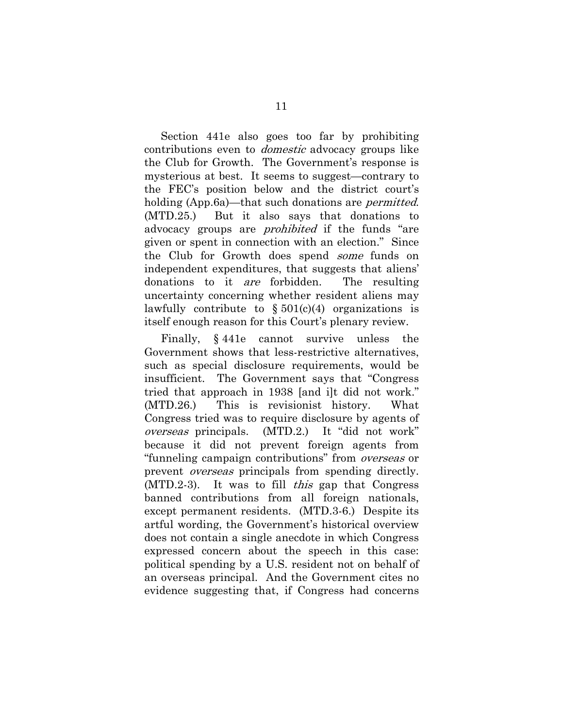Section 441e also goes too far by prohibiting contributions even to *domestic* advocacy groups like the Club for Growth. The Government's response is mysterious at best. It seems to suggest—contrary to the FEC's position below and the district court's holding (App.6a)—that such donations are *permitted*. (MTD.25.) But it also says that donations to advocacy groups are *prohibited* if the funds "are given or spent in connection with an election." Since the Club for Growth does spend *some* funds on independent expenditures, that suggests that aliens' donations to it *are* forbidden. The resulting uncertainty concerning whether resident aliens may lawfully contribute to  $\S 501(c)(4)$  organizations is itself enough reason for this Court's plenary review.

Finally, § 441e cannot survive unless the Government shows that less-restrictive alternatives, such as special disclosure requirements, would be insufficient. The Government says that "Congress tried that approach in 1938 [and i]t did not work." (MTD.26.) This is revisionist history. What Congress tried was to require disclosure by agents of overseas principals. (MTD.2.) It "did not work" because it did not prevent foreign agents from "funneling campaign contributions" from overseas or prevent *overseas* principals from spending directly. (MTD.2-3). It was to fill this gap that Congress banned contributions from all foreign nationals, except permanent residents. (MTD.3-6.) Despite its artful wording, the Government's historical overview does not contain a single anecdote in which Congress expressed concern about the speech in this case: political spending by a U.S. resident not on behalf of an overseas principal. And the Government cites no evidence suggesting that, if Congress had concerns